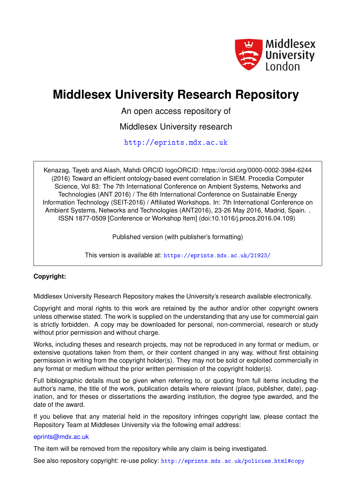

## **Middlesex University Research Repository**

An open access repository of

Middlesex University research

<http://eprints.mdx.ac.uk>

Kenazag, Tayeb and Aiash, Mahdi ORCID logoORCID: https://orcid.org/0000-0002-3984-6244 (2016) Toward an efficient ontology-based event correlation in SIEM. Procedia Computer Science, Vol 83: The 7th International Conference on Ambient Systems, Networks and Technologies (ANT 2016) / The 6th International Conference on Sustainable Energy Information Technology (SEIT-2016) / Affiliated Workshops. In: 7th International Conference on Ambient Systems, Networks and Technologies (ANT2016), 23-26 May 2016, Madrid, Spain. . ISSN 1877-0509 [Conference or Workshop Item] (doi:10.1016/j.procs.2016.04.109)

Published version (with publisher's formatting)

This version is available at: <https://eprints.mdx.ac.uk/21923/>

## **Copyright:**

Middlesex University Research Repository makes the University's research available electronically.

Copyright and moral rights to this work are retained by the author and/or other copyright owners unless otherwise stated. The work is supplied on the understanding that any use for commercial gain is strictly forbidden. A copy may be downloaded for personal, non-commercial, research or study without prior permission and without charge.

Works, including theses and research projects, may not be reproduced in any format or medium, or extensive quotations taken from them, or their content changed in any way, without first obtaining permission in writing from the copyright holder(s). They may not be sold or exploited commercially in any format or medium without the prior written permission of the copyright holder(s).

Full bibliographic details must be given when referring to, or quoting from full items including the author's name, the title of the work, publication details where relevant (place, publisher, date), pagination, and for theses or dissertations the awarding institution, the degree type awarded, and the date of the award.

If you believe that any material held in the repository infringes copyright law, please contact the Repository Team at Middlesex University via the following email address:

## [eprints@mdx.ac.uk](mailto:eprints@mdx.ac.uk)

The item will be removed from the repository while any claim is being investigated.

See also repository copyright: re-use policy: <http://eprints.mdx.ac.uk/policies.html#copy>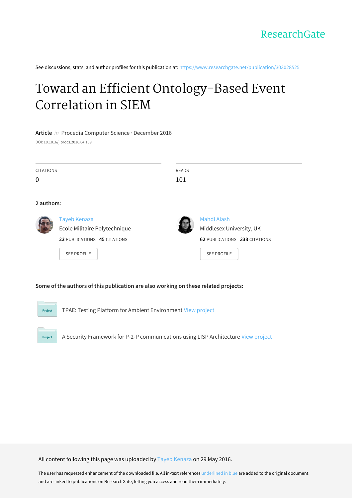See discussions, stats, and author profiles for this publication at: [https://www.researchgate.net/publication/303028525](https://www.researchgate.net/publication/303028525_Toward_an_Efficient_Ontology-Based_Event_Correlation_in_SIEM?enrichId=rgreq-34c55f28bef37fc2cd395b9a915b5857-XXX&enrichSource=Y292ZXJQYWdlOzMwMzAyODUyNTtBUzozNjcyMDAxMDkxMjE1MzhAMTQ2NDU1ODczNjgwMg%3D%3D&el=1_x_2&_esc=publicationCoverPdf)

# Toward an Efficient [Ontology-Based](https://www.researchgate.net/publication/303028525_Toward_an_Efficient_Ontology-Based_Event_Correlation_in_SIEM?enrichId=rgreq-34c55f28bef37fc2cd395b9a915b5857-XXX&enrichSource=Y292ZXJQYWdlOzMwMzAyODUyNTtBUzozNjcyMDAxMDkxMjE1MzhAMTQ2NDU1ODczNjgwMg%3D%3D&el=1_x_3&_esc=publicationCoverPdf) Event Correlation in SIEM

**Article** in Procedia Computer Science · December 2016

DOI: 10.1016/j.procs.2016.04.109



### **Some of the authors of this publication are also working on these related projects:**



Project

TPAE: Testing Platform for Ambient Environment View [project](https://www.researchgate.net/project/TPAE-Testing-Platform-for-Ambient-Environment?enrichId=rgreq-34c55f28bef37fc2cd395b9a915b5857-XXX&enrichSource=Y292ZXJQYWdlOzMwMzAyODUyNTtBUzozNjcyMDAxMDkxMjE1MzhAMTQ2NDU1ODczNjgwMg%3D%3D&el=1_x_9&_esc=publicationCoverPdf)

A Security Framework for P-2-P communications using LISP Architecture View [project](https://www.researchgate.net/project/A-Security-Framework-for-P-2-P-communications-using-LISP-Architecture?enrichId=rgreq-34c55f28bef37fc2cd395b9a915b5857-XXX&enrichSource=Y292ZXJQYWdlOzMwMzAyODUyNTtBUzozNjcyMDAxMDkxMjE1MzhAMTQ2NDU1ODczNjgwMg%3D%3D&el=1_x_9&_esc=publicationCoverPdf)

All content following this page was uploaded by Tayeb [Kenaza](https://www.researchgate.net/profile/Tayeb_Kenaza?enrichId=rgreq-34c55f28bef37fc2cd395b9a915b5857-XXX&enrichSource=Y292ZXJQYWdlOzMwMzAyODUyNTtBUzozNjcyMDAxMDkxMjE1MzhAMTQ2NDU1ODczNjgwMg%3D%3D&el=1_x_10&_esc=publicationCoverPdf) on 29 May 2016.

The user has requested enhancement of the downloaded file. All in-text references underlined in blue are added to the original document and are linked to publications on ResearchGate, letting you access and read them immediately.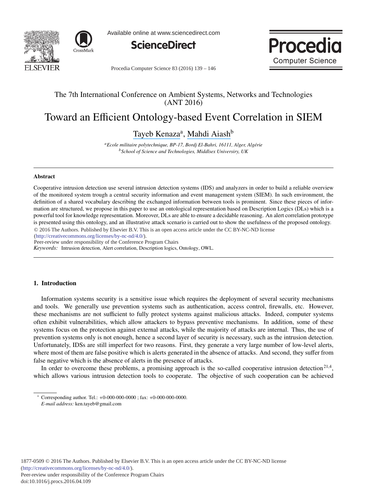



Available online at www.sciencedirect.com



**Proced Computer Science** 

Procedia Computer Science 83 (2016) 139 - 146

## The 7th International Conference on Ambient Systems, Networks and Technologies (ANT 2016)

## Toward an Efficient Ontology-based Event Correlation in SIEM

[Tayeb Kenaza](https://www.researchgate.net/profile/Tayeb_Kenaza?el=1_x_100&enrichId=rgreq-34c55f28bef37fc2cd395b9a915b5857-XXX&enrichSource=Y292ZXJQYWdlOzMwMzAyODUyNTtBUzozNjcyMDAxMDkxMjE1MzhAMTQ2NDU1ODczNjgwMg==)<sup>a</sup>, [Mahdi Aiash](https://www.researchgate.net/profile/Mahdi_Aiash2?el=1_x_100&enrichId=rgreq-34c55f28bef37fc2cd395b9a915b5857-XXX&enrichSource=Y292ZXJQYWdlOzMwMzAyODUyNTtBUzozNjcyMDAxMDkxMjE1MzhAMTQ2NDU1ODczNjgwMg==)<sup>b</sup>

<sup>a</sup>Ecole militaire polytechnique, BP-17, Bordj El-Bahri, 16111, Alger, Algérie *bSchool of Science and Technologies, Middlsex Universiry, UK*

#### Abstract

Cooperative intrusion detection use several intrusion detection systems (IDS) and analyzers in order to build a reliable overview of the monitored system trough a central security information and event management system (SIEM). In such environment, the definition of a shared vocabulary describing the exchanged information between tools is prominent. Since these pieces of information are structured, we propose in this paper to use an ontological representation based on Description Logics (DLs) which is a powerful tool for knowledge representation. Moreover, DLs are able to ensure a decidable reasoning. An alert correlation prototype is presented using this ontology, and an illustrative attack scenario is carried out to show the usefulness of the proposed ontology. -c 2016 The Authors. Published by Elsevier B.V. © 2016 The Authors. Published by Elsevier B.V. This is an open access article under the CC BY-NC-ND license

(http://creativecommons.org/licenses/by-nc-nd/4.0/).

Peer-review under responsibility of the Conference Program Chairs

*Keywords:* Intrusion detection, Alert correlation, Description logics, Ontology, OWL.

#### 1. Introduction

Information systems security is a sensitive issue which requires the deployment of several security mechanisms and tools. We generally use prevention systems such as authentication, access control, firewalls, etc. However, these mechanisms are not sufficient to fully protect systems against malicious attacks. Indeed, computer systems often exhibit vulnerabilities, which allow attackers to bypass preventive mechanisms. In addition, some of these systems focus on the protection against external attacks, while the majority of attacks are internal. Thus, the use of prevention systems only is not enough, hence a second layer of security is necessary, such as the intrusion detection. Unfortunately, IDSs are still imperfect for two reasons. First, they generate a very large number of low-level alerts, where most of them are false positive which is alerts generated in the absence of attacks. And second, they suffer from false negative which is the absence of alerts in the presence of attacks.

In order to overcome these problems, a promising approach is the so-called cooperative intrusion detection<sup>21,4</sup>, which allows various intrusion detection tools to cooperate. The objective of such cooperation can be achieved

<sup>∗</sup> Corresponding author. Tel.: +0-000-000-0000 ; fax: +0-000-000-0000.

*E-mail address:* ken.tayeb@gmail.com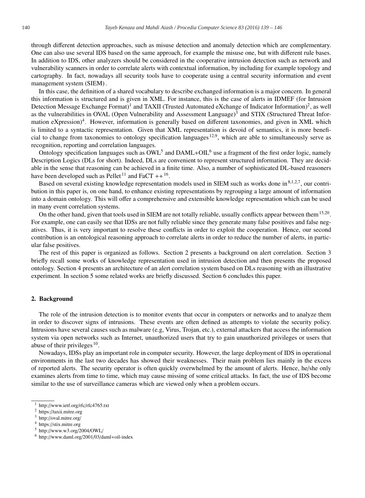through different detection approaches, such as misuse detection and anomaly detection which are complementary. One can also use several IDS based on the same approach, for example the misuse one, but with different rule bases. In addition to IDS, other analyzers should be considered in the cooperative intrusion detection such as network and vulnerability scanners in order to correlate alerts with contextual information, by including for example topology and cartography. In fact, nowadays all security tools have to cooperate using a central security information and event management system (SIEM) .

In this case, the definition of a shared vocabulary to describe exchanged information is a major concern. In general this information is structured and is given in XML. For instance, this is the case of alerts in IDMEF (for Intrusion Detection Message Exchange Format)<sup>1</sup> and TAXII (Trusted Automated eXchange of Indicator Information)<sup>2</sup>, as well as the vulnerabilities in OVAL (Open Vulnerability and Assessment Language)<sup>3</sup> and STIX (Structured Threat Information eXpression)<sup>4</sup>. However, information is generally based on different taxonomies, and given in XML which is limited to a syntactic representation. Given that XML representation is devoid of semantics, it is more beneficial to change from taxonomies to ontology specification languages  $12.9$ , which are able to simultaneously serve as recognition, reporting and correlation languages.

Ontology specification languages such as OWL<sup>5</sup> and DAML+OIL<sup>6</sup> use a fragment of the first order logic, namely Description Logics (DLs for short). Indeed, DLs are convenient to represent structured information. They are decidable in the sense that reasoning can be achieved in a finite time. Also, a number of sophisticated DL-based reasoners have been developed such as Pellet<sup>11</sup> and FaCT  $++$ <sup>16</sup>.

Based on several existing knowledge representation models used in SIEM such as works done in  $8,1,2,7$ , our contribution in this paper is, on one hand, to enhance existing representations by regrouping a large amount of information into a domain ontology. This will offer a comprehensive and extensible knowledge representation which can be used in many event correlation systems.

On the other hand, given that tools used in SIEM are not totally reliable, usually conflicts appear between them  $15,20$ . For example, one can easily see that IDSs are not fully reliable since they generate many false positives and false negatives. Thus, it is very important to resolve these conflicts in order to exploit the cooperation. Hence, our second contribution is an ontological reasoning approach to correlate alerts in order to reduce the number of alerts, in particular false positives.

The rest of this paper is organized as follows. Section 2 presents a background on alert correlation. Section 3 briefly recall some works of knowledge representation used in intrusion detection and then presents the proposed ontology. Section 4 presents an architecture of an alert correlation system based on DLs reasoning with an illustrative experiment. In section 5 some related works are briefly discussed. Section 6 concludes this paper.

#### 2. Background

The role of the intrusion detection is to monitor events that occur in computers or networks and to analyze them in order to discover signs of intrusions. These events are often defined as attempts to violate the security policy. Intrusions have several causes such as malware (e.g, Virus, Trojan, etc.), external attackers that access the information system via open networks such as Internet, unauthorized users that try to gain unauthorized privileges or users that abuse of their privileges  $10$ .

Nowadays, IDSs play an important role in computer security. However, the large deployment of IDS in operational environments in the last two decades has showed their weaknesses. Their main problem lies mainly in the excess of reported alerts. The security operator is often quickly overwhelmed by the amount of alerts. Hence, he/she only examines alerts from time to time, which may cause missing of some critical attacks. In fact, the use of IDS become similar to the use of surveillance cameras which are viewed only when a problem occurs.

<sup>1</sup> http://www.ietf.org/rfc/rfc4765.txt

<sup>2</sup> https://taxii.mitre.org

<sup>3</sup> http://oval.mitre.org/

<sup>4</sup> https://stix.mitre.org

<sup>5</sup> http://www.w3.org/2004/OWL/

<sup>6</sup> http://www.daml.org/2001/03/daml+oil-index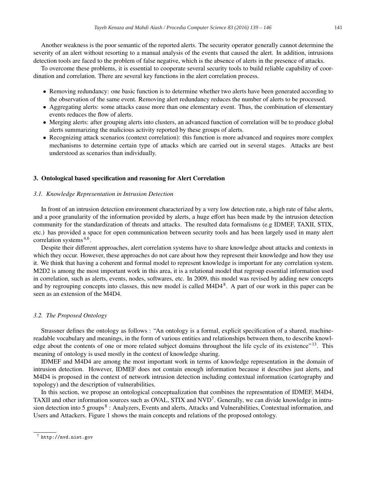Another weakness is the poor semantic of the reported alerts. The security operator generally cannot determine the severity of an alert without resorting to a manual analysis of the events that caused the alert. In addition, intrusions detection tools are faced to the problem of false negative, which is the absence of alerts in the presence of attacks.

To overcome these problems, it is essential to cooperate several security tools to build reliable capability of coordination and correlation. There are several key functions in the alert correlation process.

- Removing redundancy: one basic function is to determine whether two alerts have been generated according to the observation of the same event. Removing alert redundancy reduces the number of alerts to be processed.
- Aggregating alerts: some attacks cause more than one elementary event. Thus, the combination of elementary events reduces the flow of alerts.
- Merging alerts: after grouping alerts into clusters, an advanced function of correlation will be to produce global alerts summarizing the malicious activity reported by these groups of alerts.
- Recognizing attack scenarios (context correlation): this function is more advanced and requires more complex mechanisms to determine certain type of attacks which are carried out in several stages. Attacks are best understood as scenarios than individually.

#### 3. Ontological based specification and reasoning for Alert Correlation

#### *3.1. Knowledge Representation in Intrusion Detection*

In front of an intrusion detection environment characterized by a very low detection rate, a high rate of false alerts, and a poor granularity of the information provided by alerts, a huge effort has been made by the intrusion detection community for the standardization of threats and attacks. The resulted data formalisms (e.g IDMEF, TAXII, STIX, etc.) has provided a space for open communication between security tools and has been largely used in many alert correlation systems<sup>4,6</sup>.

Despite their different approaches, alert correlation systems have to share knowledge about attacks and contexts in which they occur. However, these approaches do not care about how they represent their knowledge and how they use it. We think that having a coherent and formal model to represent knowledge is important for any correlation system. M2D2 is among the most important work in this area, it is a relational model that regroup essential information used in correlation, such as alerts, events, nodes, softwares, etc. In 2009, this model was revised by adding new concepts and by regrouping concepts into classes, this new model is called M4D4<sup>8</sup>. A part of our work in this paper can be seen as an extension of the M4D4.

#### *3.2. The Proposed Ontology*

Strassner defines the ontology as follows : "An ontology is a formal, explicit specification of a shared, machinereadable vocabulary and meanings, in the form of various entities and relationships between them, to describe knowledge about the contents of one or more related subject domains throughout the life cycle of its existence"<sup>13</sup>. This meaning of ontology is used mostly in the context of knowledge sharing.

IDMEF and M4D4 are among the most important work in terms of knowledge representation in the domain of intrusion detection. However, IDMEF does not contain enough information because it describes just alerts, and M4D4 is proposed in the context of network intrusion detection including contextual information (cartography and topology) and the description of vulnerabilities.

In this section, we propose an ontological conceptualization that combines the representation of IDMEF, M4D4, TAXII and other information sources such as OVAL, STIX and NVD7. Generally, we can divide knowledge in intrusion detection into 5 groups<sup>8</sup>: Analyzers, Events and alerts, Attacks and Vulnerabilities, Contextual information, and Users and Attackers. Figure 1 shows the main concepts and relations of the proposed ontology.

<sup>7</sup> http://nvd.nist.gov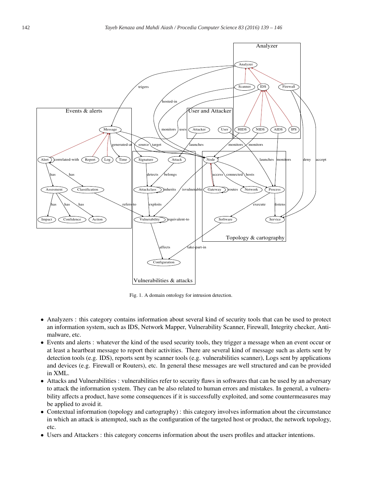

Fig. 1. A domain ontology for intrusion detection.

- Analyzers : this category contains information about several kind of security tools that can be used to protect an information system, such as IDS, Network Mapper, Vulnerability Scanner, Firewall, Integrity checker, Antimalware, etc.
- Events and alerts : whatever the kind of the used security tools, they trigger a message when an event occur or at least a heartbeat message to report their activities. There are several kind of message such as alerts sent by detection tools (e.g. IDS), reports sent by scanner tools (e.g. vulnerabilities scanner), Logs sent by applications and devices (e.g. Firewall or Routers), etc. In general these messages are well structured and can be provided in XML.
- Attacks and Vulnerabilities : vulnerabilities refer to security flaws in softwares that can be used by an adversary to attack the information system. They can be also related to human errors and mistakes. In general, a vulnerability affects a product, have some consequences if it is successfully exploited, and some countermeasures may be applied to avoid it.
- Contextual information (topology and cartography) : this category involves information about the circumstance in which an attack is attempted, such as the configuration of the targeted host or product, the network topology, etc.
- Users and Attackers : this category concerns information about the users profiles and attacker intentions.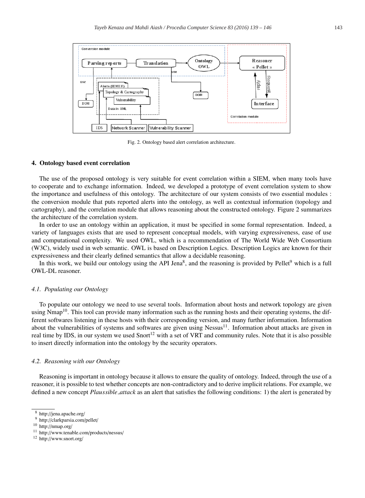

Fig. 2. Ontology based alert correlation architecture.

#### 4. Ontology based event correlation

The use of the proposed ontology is very suitable for event correlation within a SIEM, when many tools have to cooperate and to exchange information. Indeed, we developed a prototype of event correlation system to show the importance and usefulness of this ontology. The architecture of our system consists of two essential modules : the conversion module that puts reported alerts into the ontology, as well as contextual information (topology and cartography), and the correlation module that allows reasoning about the constructed ontology. Figure 2 summarizes the architecture of the correlation system.

In order to use an ontology within an application, it must be specified in some formal representation. Indeed, a variety of languages exists that are used to represent conceptual models, with varying expressiveness, ease of use and computational complexity. We used OWL, which is a recommendation of The World Wide Web Consortium (W3C), widely used in web semantic. OWL is based on Description Logics. Description Logics are known for their expressiveness and their clearly defined semantics that allow a decidable reasoning.

In this work, we build our ontology using the API Jena<sup>8</sup>, and the reasoning is provided by Pellet<sup>9</sup> which is a full OWL-DL reasoner.

#### *4.1. Populating our Ontology*

To populate our ontology we need to use several tools. Information about hosts and network topology are given using Nmap<sup>10</sup>. This tool can provide many information such as the running hosts and their operating systems, the different softwares listening in these hosts with their corresponding version, and many further information. Information about the vulnerabilities of systems and softwares are given using  $Nessus<sup>11</sup>$ . Information about attacks are given in real time by IDS, in our system we used Snort<sup>12</sup> with a set of VRT and community rules. Note that it is also possible to insert directly information into the ontology by the security operators.

#### *4.2. Reasoning with our Ontology*

Reasoning is important in ontology because it allows to ensure the quality of ontology. Indeed, through the use of a reasoner, it is possible to test whether concepts are non-contradictory and to derive implicit relations. For example, we defined a new concept *Plaussible attack* as an alert that satisfies the following conditions: 1) the alert is generated by

<sup>8</sup> http://jena.apache.org/

<sup>9</sup> http://clarkparsia.com/pellet/

<sup>10</sup> http://nmap.org/

<sup>11</sup> http://www.tenable.com/products/nessus/

<sup>12</sup> http://www.snort.org/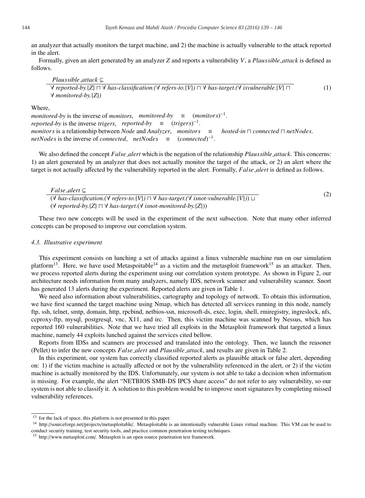an analyzer that actually monitors the target machine, and 2) the machine is actually vulnerable to the attack reported in the alert.

Formally, given an alert generated by an analyzer *Z* and reports a vulnerability *V*, a *Plaussible attack* is defined as follows.

*Plaussible attack* ⊆ ∀ *reported-by.*{*Z*}∀ *has-classification.(*∀ *refers-to.*{*V*}*)* ∀ *has-target.(*∀ *isvulnerable.*{*V*} ∀ *monitored-by.*{*Z*}*)* (1)

Where,

*monitored-by* is the inverse of *monitors*, *monitored-by*  $\equiv$   $(monitors)^{-1}$ . *reported-by* is the inverse *trigers*, *reported-by*  $\equiv$   $(trigers)^{-1}$ . *monitors* is a relationship between *Node* and *Analyzer*, *monitors* ≡ *hosted-in connected netNodes*.  $netNodes$  is the inverse of *connected*,  $netNodes \equiv$  $(connected)^{-1}$ .

We also defined the concept *False alert* which is the negation of the relationship *Plaussible attack*. This concerns: 1) an alert generated by an analyzer that does not actually monitor the target of the attack, or 2) an alert where the target is not actually affected by the vulnerability reported in the alert. Formally, *False alert* is defined as follows.

*False alert* ⊆ (∀ *has-classification.(*∀ *refers-to.*{*V*}*)* ∀ *has-target.(*∀ *isnot-vulnerable.*{*V*}*)*) (∀ *reported-by.*{*Z*}∀ *has-target*.(∀ *isnot-monitored-by.*{*Z*})) (2)

These two new concepts will be used in the experiment of the next subsection. Note that many other inferred concepts can be proposed to improve our correlation system.

#### *4.3. Illustrative experiment*

This experiment consists on lunching a set of attacks against a linux vulnerable machine run on our simulation platform<sup>13</sup>. Here, we have used Metaspoitable<sup>14</sup> as a victim and the metasploit framework<sup>15</sup> as an attacker. Then, we process reported alerts during the experiment using our correlation system prototype. As shown in Figure 2, our architecture needs information from many analyzers, namely IDS, network scanner and vulnerability scanner. Snort has generated 13 alerts during the experiment. Reported alerts are given in Table 1.

We need also information about vulnerabilities, cartography and topology of network. To obtain this information, we have first scanned the target machine using Nmap, which has detected all services running in this node, namely ftp, ssh, telnet, smtp, domain, http, rpcbind, netbios-ssn, microsoft-ds, exec, login, shell, rmiregistry, ingreslock, nfs, ccproxy-ftp, mysql, postgresql, vnc, X11, and irc. Then, this victim machine was scanned by Nessus, which has reported 160 vulnerabilities. Note that we have tried all exploits in the Metasploit framework that targeted a linux machine, namely 44 exploits lunched against the services cited bellow.

Reports from IDSs and scanners are processed and translated into the ontology. Then, we launch the reasoner (Pellet) to infer the new concepts *False alert* and *Plausible attack*, and results are given in Table 2.

In this experiment, our system has correctly classified reported alerts as plausible attack or false alert, depending on: 1) if the victim machine is actually affected or not by the vulnerability referenced in the alert, or 2) if the victim machine is actually monitored by the IDS. Unfortunately, our system is not able to take a decision when information is missing. For example, the alert "NETBIOS SMB-DS IPC\$ share access" do not refer to any vulnerability, so our system is not able to classify it. A solution to this problem would be to improve snort signatures by completing missed vulnerability references.

 $\frac{13}{13}$  for the lack of space, this platform is not presented in this paper.

<sup>14</sup> http://sourceforge.net/projects/metasploitable/. Metasploitable is an intentionally vulnerable Linux virtual machine. This VM can be used to conduct security training, test security tools, and practice common penetration testing techniques.

<sup>15</sup> http://www.metasploit.com/. Metasploit is an open source penetration test framework.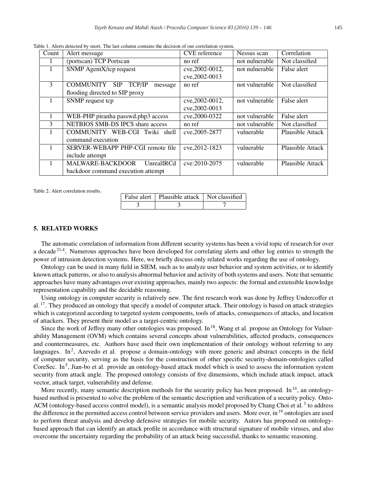| Count         | Alert message                                       | CVE reference   | Nessus scan    | Correlation             |
|---------------|-----------------------------------------------------|-----------------|----------------|-------------------------|
| л.            | (portscan) TCP Portscan                             | no ref          | not nulnerable | Not classified          |
| 1             | SNMP AgentX/tcp request                             | cve, 2002-0012, | not nulnerable | False alert             |
|               |                                                     | cve, 2002-0013  |                |                         |
| 3             | COMMUNITY<br><b>SIP</b><br><b>TCP/IP</b><br>message | no ref          | not vulnerable | Not classified          |
|               | flooding directed to SIP proxy                      |                 |                |                         |
| 1             | SNMP request tcp                                    | cve, 2002-0012, | not vulnerable | False alert             |
|               |                                                     | cve, 2002-0013  |                |                         |
| 1             | WEB-PHP piranha passwd.php3 access                  | cve, 2000-0322  | not vulnerable | False alert             |
| $\mathcal{F}$ | NETBIOS SMB-DS IPC\$ share access                   | no ref          | not vulnerable | Not classified          |
| 1             | COMMUNITY WEB-CGI Twiki shell                       | cve.2005-2877   | vulnerable     | <b>Plausible Attack</b> |
|               | command execution                                   |                 |                |                         |
|               | SERVER-WEBAPP PHP-CGI remote file                   | cve.2012-1823   | vulnerable     | <b>Plausible Attack</b> |
|               | include attempt                                     |                 |                |                         |
| 1             | MALWARE-BACKDOOR<br>UnrealIRCd                      | cve:2010-2075   | vulnerable     | <b>Plausible Attack</b> |
|               | backdoor command execution attempt                  |                 |                |                         |

Table 1. Alerts detected by snort. The last column contains the decision of our correlation system.

Table 2. Alert correlation results.

| False alert   Plausible attack   Not classified |  |
|-------------------------------------------------|--|
|                                                 |  |

#### 5. RELATED WORKS

The automatic correlation of information from different security systems has been a vivid topic of research for over a decade  $21.4$ . Numerous approaches have been developed for correlating alerts and other log entries to strength the power of intrusion detection systems. Here, we briefly discuss only related works regarding the use of ontology.

Ontology can be used in many field in SIEM, such as to analyze user behavior and system activities, or to identify known attack patterns, or also to analysis abnormal behavior and activity of both systems and users. Note that semantic approaches have many advantages over existing approaches, mainly two aspects: the formal and extensible knowledge representation capability and the decidable reasoning.

Using ontology in computer security is relatively new. The first research work was done by Jeffrey Undercoffer et al.  $^{17}$ . They produced an ontology that specify a model of computer attack. Their ontology is based on attack strategies which is categorized according to targeted system components, tools of attacks, consequences of attacks, and location of attackers. They present their model as a target-centric ontology.

Since the work of Jeffrey many other ontologies was proposed. In<sup>18</sup>, Wang et al. propose an Ontology for Vulnerability Management (OVM) which contains several concepts about vulnerabilities, affected products, consequences and countermeasures, etc. Authors have used their own implementation of their ontology without referring to any languages. In<sup>2</sup>, Azevedo et al. propose a domain-ontology with more generic and abstract concepts in the field of computer security, serving as the basis for the construction of other specific security-domain-ontologies called CoreSec. In<sup>5</sup>, Jian-bo et al. provide an ontology-based attack model which is used to assess the information system security from attack angle. The proposed ontology consists of five dimensions, which include attack impact, attack vector, attack target, vulnerability and defense.

More recently, many semantic description methods for the security policy has been proposed. In<sup>14</sup>, an ontologybased method is presented to solve the problem of the semantic description and verification of a security policy. Onto-ACM (ontology-based access control model), is a semantic analysis model proposed by Chang Choi et al.<sup>3</sup> to address the difference in the permitted access control between service providers and users. More over, in<sup>19</sup> ontologies are used to perform threat analysis and develop defensive strategies for mobile security. Autors has proposed on ontologybased approach that can identify an attack profile in accordance with structural signature of mobile viruses, and also overcome the uncertainty regarding the probability of an attack being successful, thanks to semantic reasoning.